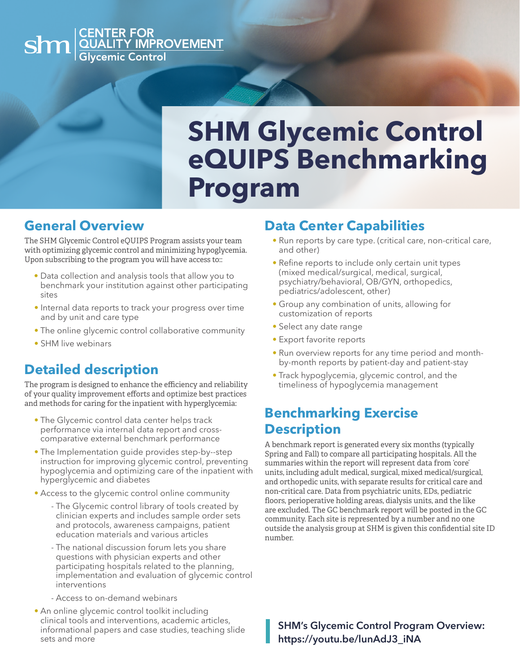## **CENTER FOR<br>QUALITY IMPROVEMENT**<br>Glycemic Control

### **SHM Glycemic Control eQUIPS Benchmarking Program**

#### **General Overview**

The SHM Glycemic Control eQUIPS Program assists your team with optimizing glycemic control and minimizing hypoglycemia. Upon subscribing to the program you will have access to::

- Data collection and analysis tools that allow you to benchmark your institution against other participating sites
- Internal data reports to track your progress over time and by unit and care type
- The online glycemic control collaborative community
- SHM live webinars

#### **Detailed description**

The program is designed to enhance the efficiency and reliability of your quality improvement efforts and optimize best practices and methods for caring for the inpatient with hyperglycemia:

- The Glycemic control data center helps track performance via internal data report and crosscomparative external benchmark performance
- The Implementation guide provides step-by--step instruction for improving glycemic control, preventing hypoglycemia and optimizing care of the inpatient with hyperglycemic and diabetes
- Access to the glycemic control online community
	- The Glycemic control library of tools created by clinician experts and includes sample order sets and protocols, awareness campaigns, patient education materials and various articles
	- The national discussion forum lets you share questions with physician experts and other participating hospitals related to the planning, implementation and evaluation of glycemic control interventions
	- Access to on-demand webinars
- An online glycemic control toolkit including clinical tools and interventions, academic articles, informational papers and case studies, teaching slide sets and more

#### **Data Center Capabilities**

- Run reports by care type. (critical care, non-critical care, and other)
- Refine reports to include only certain unit types (mixed medical/surgical, medical, surgical, psychiatry/behavioral, OB/GYN, orthopedics, pediatrics/adolescent, other)
- Group any combination of units, allowing for customization of reports
- Select any date range
- Export favorite reports
- Run overview reports for any time period and monthby-month reports by patient-day and patient-stay
- Track hypoglycemia, glycemic control, and the timeliness of hypoglycemia management

#### **Benchmarking Exercise Description**

A benchmark report is generated every six months (typically Spring and Fall) to compare all participating hospitals. All the summaries within the report will represent data from 'core' units, including adult medical, surgical, mixed medical/surgical, and orthopedic units, with separate results for critical care and non-critical care. Data from psychiatric units, EDs, pediatric floors, perioperative holding areas, dialysis units, and the like are excluded. The GC benchmark report will be posted in the GC community. Each site is represented by a number and no one outside the analysis group at SHM is given this confidential site ID number.

**SHM's Glycemic Control Program Overview: https://youtu.be/lunAdJ3\_iNA**